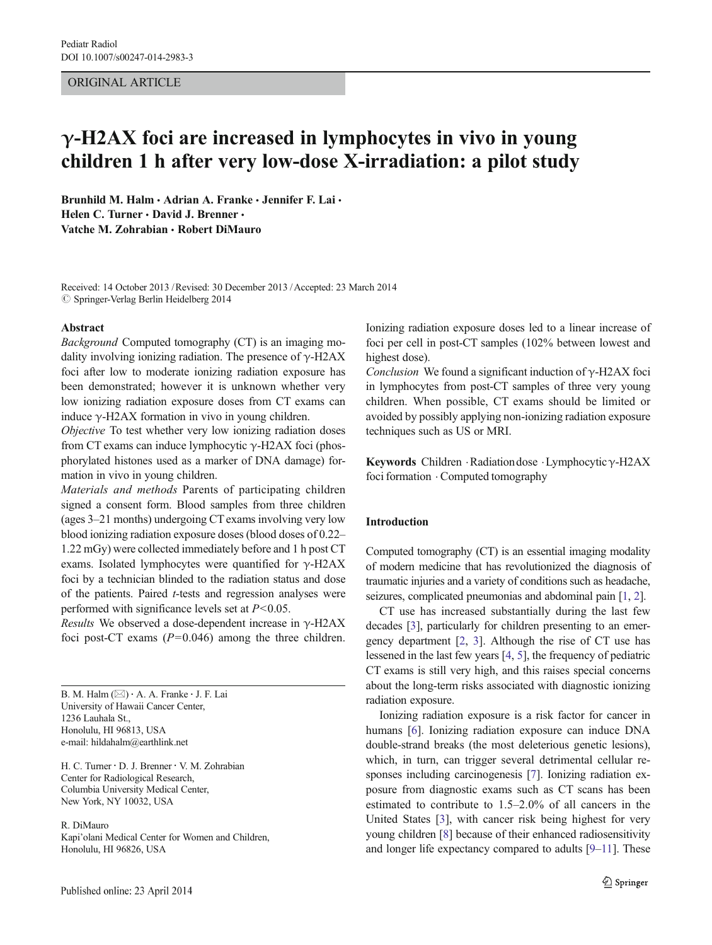## ORIGINAL ARTICLE

# $\gamma$ -H2AX foci are increased in lymphocytes in vivo in young children 1 h after very low-dose X-irradiation: a pilot study

Brunhild M. Halm · Adrian A. Franke · Jennifer F. Lai · Helen C. Turner · David J. Brenner · Vatche M. Zohrabian · Robert DiMauro

Received: 14 October 2013 /Revised: 30 December 2013 /Accepted: 23 March 2014  $\oslash$  Springer-Verlag Berlin Heidelberg 2014

## Abstract

Background Computed tomography (CT) is an imaging modality involving ionizing radiation. The presence of  $\gamma$ -H2AX foci after low to moderate ionizing radiation exposure has been demonstrated; however it is unknown whether very low ionizing radiation exposure doses from CT exams can induce  $γ$ -H2AX formation in vivo in young children.

Objective To test whether very low ionizing radiation doses from CT exams can induce lymphocytic  $\gamma$ -H2AX foci (phosphorylated histones used as a marker of DNA damage) formation in vivo in young children.

Materials and methods Parents of participating children signed a consent form. Blood samples from three children (ages 3–21 months) undergoing CT exams involving very low blood ionizing radiation exposure doses (blood doses of 0.22– 1.22 mGy) were collected immediately before and 1 h post CT exams. Isolated lymphocytes were quantified for  $\gamma$ -H2AX foci by a technician blinded to the radiation status and dose of the patients. Paired t-tests and regression analyses were performed with significance levels set at  $P<0.05$ .

*Results* We observed a dose-dependent increase in  $\gamma$ -H2AX foci post-CT exams  $(P=0.046)$  among the three children.

B. M. Halm  $(\boxtimes) \cdot A$ . A. Franke  $\cdot$  J. F. Lai University of Hawaii Cancer Center, 1236 Lauhala St., Honolulu, HI 96813, USA e-mail: hildahalm@earthlink.net

H. C. Turner · D. J. Brenner · V. M. Zohrabian Center for Radiological Research, Columbia University Medical Center, New York, NY 10032, USA

R. DiMauro

Kapi'olani Medical Center for Women and Children, Honolulu, HI 96826, USA

Ionizing radiation exposure doses led to a linear increase of foci per cell in post-CT samples (102% between lowest and highest dose).

Conclusion We found a significant induction of  $\gamma$ -H2AX foci in lymphocytes from post-CT samples of three very young children. When possible, CT exams should be limited or avoided by possibly applying non-ionizing radiation exposure techniques such as US or MRI.

Keywords Children .Radiation dose .Lymphocyticγ-H2AX foci formation . Computed tomography

## Introduction

Computed tomography (CT) is an essential imaging modality of modern medicine that has revolutionized the diagnosis of traumatic injuries and a variety of conditions such as headache, seizures, complicated pneumonias and abdominal pain [[1](#page-6-0), [2](#page-6-0)].

CT use has increased substantially during the last few decades [\[3](#page-6-0)], particularly for children presenting to an emergency department [\[2](#page-6-0), [3\]](#page-6-0). Although the rise of CT use has lessened in the last few years [\[4,](#page-6-0) [5](#page-6-0)], the frequency of pediatric CT exams is still very high, and this raises special concerns about the long-term risks associated with diagnostic ionizing radiation exposure.

Ionizing radiation exposure is a risk factor for cancer in humans [\[6](#page-6-0)]. Ionizing radiation exposure can induce DNA double-strand breaks (the most deleterious genetic lesions), which, in turn, can trigger several detrimental cellular responses including carcinogenesis [\[7\]](#page-6-0). Ionizing radiation exposure from diagnostic exams such as CT scans has been estimated to contribute to 1.5–2.0% of all cancers in the United States [[3\]](#page-6-0), with cancer risk being highest for very young children [[8\]](#page-6-0) because of their enhanced radiosensitivity and longer life expectancy compared to adults [\[9](#page-6-0)–[11\]](#page-6-0). These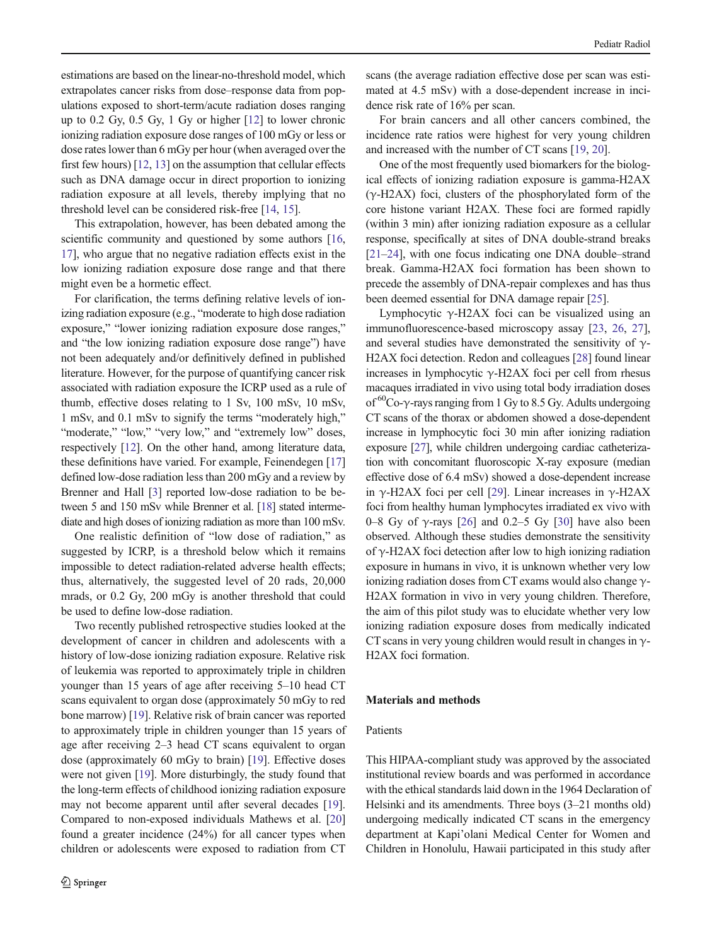<span id="page-1-0"></span>estimations are based on the linear-no-threshold model, which extrapolates cancer risks from dose–response data from populations exposed to short-term/acute radiation doses ranging up to 0.2 Gy, 0.5 Gy, 1 Gy or higher [\[12](#page-6-0)] to lower chronic ionizing radiation exposure dose ranges of 100 mGy or less or dose rates lower than 6 mGy per hour (when averaged over the first few hours) [\[12,](#page-6-0) [13](#page-6-0)] on the assumption that cellular effects such as DNA damage occur in direct proportion to ionizing radiation exposure at all levels, thereby implying that no threshold level can be considered risk-free [[14](#page-6-0), [15](#page-6-0)].

This extrapolation, however, has been debated among the scientific community and questioned by some authors [[16,](#page-6-0) [17\]](#page-6-0), who argue that no negative radiation effects exist in the low ionizing radiation exposure dose range and that there might even be a hormetic effect.

For clarification, the terms defining relative levels of ionizing radiation exposure (e.g., "moderate to high dose radiation exposure," "lower ionizing radiation exposure dose ranges," and "the low ionizing radiation exposure dose range") have not been adequately and/or definitively defined in published literature. However, for the purpose of quantifying cancer risk associated with radiation exposure the ICRP used as a rule of thumb, effective doses relating to 1 Sv, 100 mSv, 10 mSv, 1 mSv, and 0.1 mSv to signify the terms "moderately high," "moderate," "low," "very low," and "extremely low" doses, respectively [\[12](#page-6-0)]. On the other hand, among literature data, these definitions have varied. For example, Feinendegen [\[17\]](#page-6-0) defined low-dose radiation less than 200 mGy and a review by Brenner and Hall [\[3](#page-6-0)] reported low-dose radiation to be between 5 and 150 mSv while Brenner et al. [\[18\]](#page-6-0) stated intermediate and high doses of ionizing radiation as more than 100 mSv.

One realistic definition of "low dose of radiation," as suggested by ICRP, is a threshold below which it remains impossible to detect radiation-related adverse health effects; thus, alternatively, the suggested level of 20 rads, 20,000 mrads, or 0.2 Gy, 200 mGy is another threshold that could be used to define low-dose radiation.

Two recently published retrospective studies looked at the development of cancer in children and adolescents with a history of low-dose ionizing radiation exposure. Relative risk of leukemia was reported to approximately triple in children younger than 15 years of age after receiving 5–10 head CT scans equivalent to organ dose (approximately 50 mGy to red bone marrow) [\[19\]](#page-6-0). Relative risk of brain cancer was reported to approximately triple in children younger than 15 years of age after receiving 2–3 head CT scans equivalent to organ dose (approximately 60 mGy to brain) [[19](#page-6-0)]. Effective doses were not given [\[19\]](#page-6-0). More disturbingly, the study found that the long-term effects of childhood ionizing radiation exposure may not become apparent until after several decades [[19](#page-6-0)]. Compared to non-exposed individuals Mathews et al. [\[20\]](#page-6-0) found a greater incidence (24%) for all cancer types when children or adolescents were exposed to radiation from CT scans (the average radiation effective dose per scan was estimated at 4.5 mSv) with a dose-dependent increase in incidence risk rate of 16% per scan.

For brain cancers and all other cancers combined, the incidence rate ratios were highest for very young children and increased with the number of CT scans [[19](#page-6-0), [20](#page-6-0)].

One of the most frequently used biomarkers for the biological effects of ionizing radiation exposure is gamma-H2AX  $(\gamma$ -H2AX) foci, clusters of the phosphorylated form of the core histone variant H2AX. These foci are formed rapidly (within 3 min) after ionizing radiation exposure as a cellular response, specifically at sites of DNA double-strand breaks [\[21](#page-6-0)–[24\]](#page-6-0), with one focus indicating one DNA double–strand break. Gamma-H2AX foci formation has been shown to precede the assembly of DNA-repair complexes and has thus been deemed essential for DNA damage repair [\[25](#page-6-0)].

Lymphocytic γ-H2AX foci can be visualized using an immunofluorescence-based microscopy assay [[23,](#page-6-0) [26](#page-6-0), [27\]](#page-6-0), and several studies have demonstrated the sensitivity of  $\gamma$ -H2AX foci detection. Redon and colleagues [\[28\]](#page-7-0) found linear increases in lymphocytic γ-H2AX foci per cell from rhesus macaques irradiated in vivo using total body irradiation doses of  ${}^{60}$ Co- $\gamma$ -rays ranging from 1 Gy to 8.5 Gy. Adults undergoing CT scans of the thorax or abdomen showed a dose-dependent increase in lymphocytic foci 30 min after ionizing radiation exposure [[27](#page-6-0)], while children undergoing cardiac catheterization with concomitant fluoroscopic X-ray exposure (median effective dose of 6.4 mSv) showed a dose-dependent increase in γ-H2AX foci per cell [\[29](#page-7-0)]. Linear increases in γ-H2AX foci from healthy human lymphocytes irradiated ex vivo with 0–8 Gy of  $\gamma$ -rays [[26\]](#page-6-0) and 0.2–5 Gy [[30](#page-7-0)] have also been observed. Although these studies demonstrate the sensitivity of  $\gamma$ -H2AX foci detection after low to high ionizing radiation exposure in humans in vivo, it is unknown whether very low ionizing radiation doses from CT exams would also change  $\gamma$ -H2AX formation in vivo in very young children. Therefore, the aim of this pilot study was to elucidate whether very low ionizing radiation exposure doses from medically indicated CT scans in very young children would result in changes in  $\gamma$ -H2AX foci formation.

## Materials and methods

### Patients

This HIPAA-compliant study was approved by the associated institutional review boards and was performed in accordance with the ethical standards laid down in the 1964 Declaration of Helsinki and its amendments. Three boys (3–21 months old) undergoing medically indicated CT scans in the emergency department at Kapi'olani Medical Center for Women and Children in Honolulu, Hawaii participated in this study after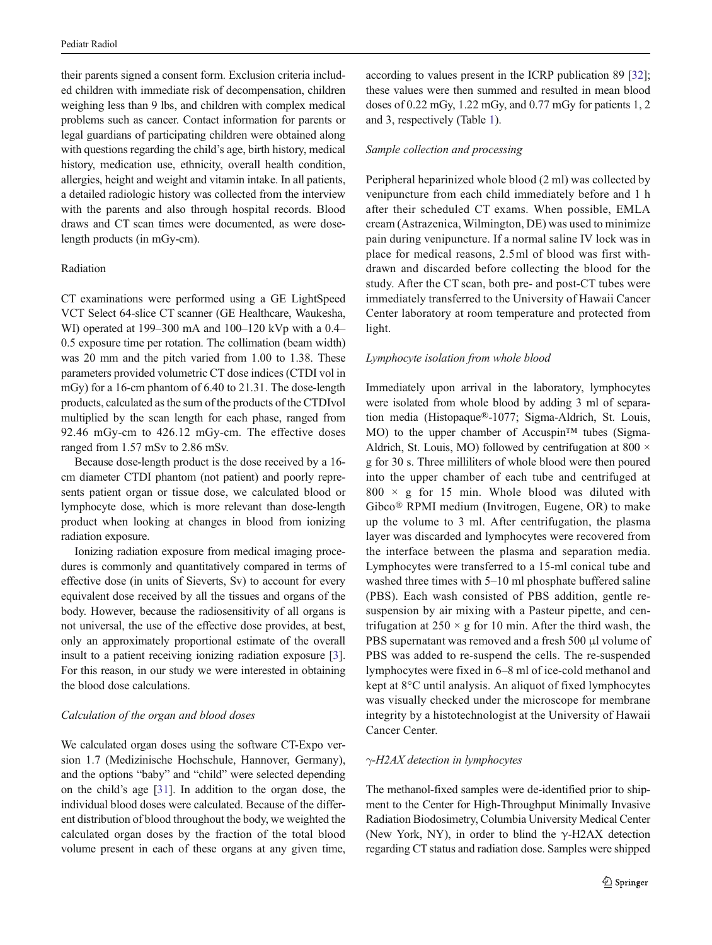their parents signed a consent form. Exclusion criteria included children with immediate risk of decompensation, children weighing less than 9 lbs, and children with complex medical problems such as cancer. Contact information for parents or legal guardians of participating children were obtained along with questions regarding the child's age, birth history, medical history, medication use, ethnicity, overall health condition, allergies, height and weight and vitamin intake. In all patients, a detailed radiologic history was collected from the interview with the parents and also through hospital records. Blood draws and CT scan times were documented, as were doselength products (in mGy-cm).

## Radiation

CT examinations were performed using a GE LightSpeed VCT Select 64-slice CT scanner (GE Healthcare, Waukesha, WI) operated at 199–300 mA and 100–120 kVp with a 0.4– 0.5 exposure time per rotation. The collimation (beam width) was 20 mm and the pitch varied from 1.00 to 1.38. These parameters provided volumetric CT dose indices (CTDI vol in mGy) for a 16-cm phantom of 6.40 to 21.31. The dose-length products, calculated as the sum of the products of the CTDIvol multiplied by the scan length for each phase, ranged from 92.46 mGy-cm to 426.12 mGy-cm. The effective doses ranged from 1.57 mSv to 2.86 mSv.

Because dose-length product is the dose received by a 16 cm diameter CTDI phantom (not patient) and poorly represents patient organ or tissue dose, we calculated blood or lymphocyte dose, which is more relevant than dose-length product when looking at changes in blood from ionizing radiation exposure.

Ionizing radiation exposure from medical imaging procedures is commonly and quantitatively compared in terms of effective dose (in units of Sieverts, Sv) to account for every equivalent dose received by all the tissues and organs of the body. However, because the radiosensitivity of all organs is not universal, the use of the effective dose provides, at best, only an approximately proportional estimate of the overall insult to a patient receiving ionizing radiation exposure [[3\]](#page-6-0). For this reason, in our study we were interested in obtaining the blood dose calculations.

## Calculation of the organ and blood doses

We calculated organ doses using the software CT-Expo version 1.7 (Medizinische Hochschule, Hannover, Germany), and the options "baby" and "child" were selected depending on the child's age [[31](#page-7-0)]. In addition to the organ dose, the individual blood doses were calculated. Because of the different distribution of blood throughout the body, we weighted the calculated organ doses by the fraction of the total blood volume present in each of these organs at any given time, according to values present in the ICRP publication 89 [[32](#page-7-0)]; these values were then summed and resulted in mean blood doses of 0.22 mGy, 1.22 mGy, and 0.77 mGy for patients 1, 2 and 3, respectively (Table [1](#page-3-0)).

# Sample collection and processing

Peripheral heparinized whole blood (2 ml) was collected by venipuncture from each child immediately before and 1 h after their scheduled CT exams. When possible, EMLA cream (Astrazenica, Wilmington, DE) was used to minimize pain during venipuncture. If a normal saline IV lock was in place for medical reasons, 2.5ml of blood was first withdrawn and discarded before collecting the blood for the study. After the CT scan, both pre- and post-CT tubes were immediately transferred to the University of Hawaii Cancer Center laboratory at room temperature and protected from light.

# Lymphocyte isolation from whole blood

Immediately upon arrival in the laboratory, lymphocytes were isolated from whole blood by adding 3 ml of separation media (Histopaque®-1077; Sigma-Aldrich, St. Louis, MO) to the upper chamber of Accuspin<sup>™</sup> tubes (Sigma-Aldrich, St. Louis, MO) followed by centrifugation at 800  $\times$ g for 30 s. Three milliliters of whole blood were then poured into the upper chamber of each tube and centrifuged at  $800 \times g$  for 15 min. Whole blood was diluted with Gibco® RPMI medium (Invitrogen, Eugene, OR) to make up the volume to 3 ml. After centrifugation, the plasma layer was discarded and lymphocytes were recovered from the interface between the plasma and separation media. Lymphocytes were transferred to a 15-ml conical tube and washed three times with 5–10 ml phosphate buffered saline (PBS). Each wash consisted of PBS addition, gentle resuspension by air mixing with a Pasteur pipette, and centrifugation at  $250 \times g$  for 10 min. After the third wash, the PBS supernatant was removed and a fresh 500 μl volume of PBS was added to re-suspend the cells. The re-suspended lymphocytes were fixed in 6–8 ml of ice-cold methanol and kept at 8°C until analysis. An aliquot of fixed lymphocytes was visually checked under the microscope for membrane integrity by a histotechnologist at the University of Hawaii Cancer Center.

# $\gamma$ -H2AX detection in lymphocytes

The methanol-fixed samples were de-identified prior to shipment to the Center for High-Throughput Minimally Invasive Radiation Biodosimetry, Columbia University Medical Center (New York, NY), in order to blind the  $\gamma$ -H2AX detection regarding CT status and radiation dose. Samples were shipped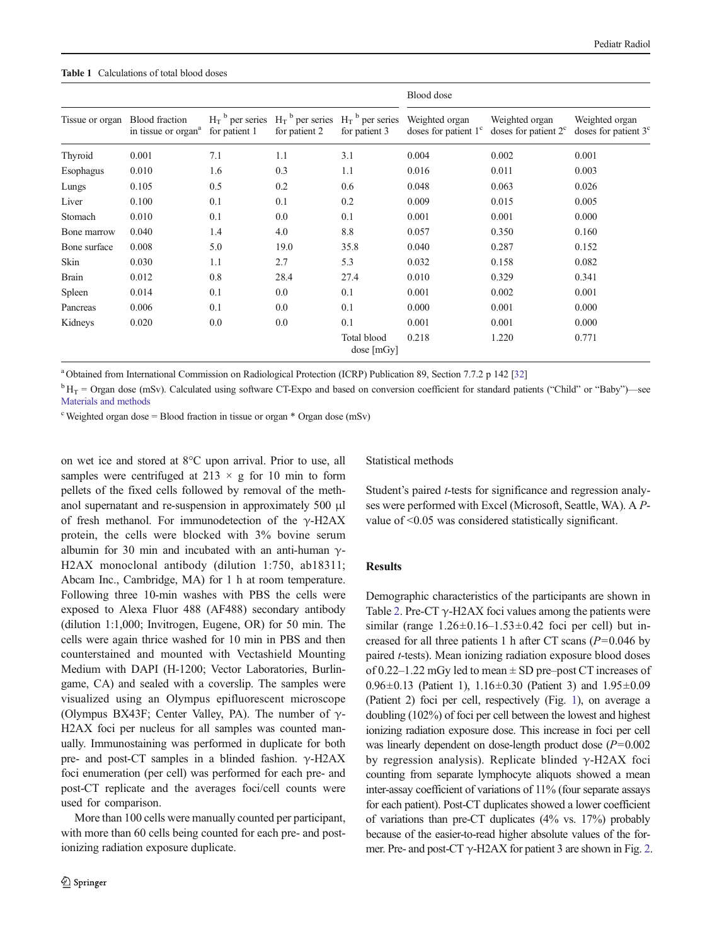#### <span id="page-3-0"></span>Table 1 Calculations of total blood doses

|                 |                                                          |                                                | $H_T$ <sup>b</sup> per series<br>for patient 2 | $H_T$ <sup>b</sup> per series<br>for patient 3 | Blood dose                               |                                          |                                          |  |
|-----------------|----------------------------------------------------------|------------------------------------------------|------------------------------------------------|------------------------------------------------|------------------------------------------|------------------------------------------|------------------------------------------|--|
| Tissue or organ | <b>Blood</b> fraction<br>in tissue or organ <sup>a</sup> | $H_T$ <sup>b</sup> per series<br>for patient 1 |                                                |                                                | Weighted organ<br>doses for patient $1c$ | Weighted organ<br>doses for patient $2c$ | Weighted organ<br>doses for patient $3c$ |  |
| Thyroid         | 0.001                                                    | 7.1                                            | 1.1                                            | 3.1                                            | 0.004                                    | 0.002                                    | 0.001                                    |  |
| Esophagus       | 0.010                                                    | 1.6                                            | 0.3                                            | 1.1                                            | 0.016                                    | 0.011                                    | 0.003                                    |  |
| Lungs           | 0.105                                                    | 0.5                                            | 0.2                                            | 0.6                                            | 0.048                                    | 0.063                                    | 0.026                                    |  |
| Liver           | 0.100                                                    | 0.1                                            | 0.1                                            | 0.2                                            | 0.009                                    | 0.015                                    | 0.005                                    |  |
| Stomach         | 0.010                                                    | 0.1                                            | 0.0                                            | 0.1                                            | 0.001                                    | 0.001                                    | 0.000                                    |  |
| Bone marrow     | 0.040                                                    | 1.4                                            | 4.0                                            | 8.8                                            | 0.057                                    | 0.350                                    | 0.160                                    |  |
| Bone surface    | 0.008                                                    | 5.0                                            | 19.0                                           | 35.8                                           | 0.040                                    | 0.287                                    | 0.152                                    |  |
| Skin            | 0.030                                                    | 1.1                                            | 2.7                                            | 5.3                                            | 0.032                                    | 0.158                                    | 0.082                                    |  |
| <b>Brain</b>    | 0.012                                                    | 0.8                                            | 28.4                                           | 27.4                                           | 0.010                                    | 0.329                                    | 0.341                                    |  |
| Spleen          | 0.014                                                    | 0.1                                            | 0.0                                            | 0.1                                            | 0.001                                    | 0.002                                    | 0.001                                    |  |
| Pancreas        | 0.006                                                    | 0.1                                            | 0.0                                            | 0.1                                            | 0.000                                    | 0.001                                    | 0.000                                    |  |
| Kidneys         | 0.020                                                    | 0.0                                            | 0.0                                            | 0.1                                            | 0.001                                    | 0.001                                    | 0.000                                    |  |
|                 |                                                          |                                                |                                                | Total blood<br>dose [mGyl]                     | 0.218                                    | 1.220                                    | 0.771                                    |  |

<sup>a</sup> Obtained from International Commission on Radiological Protection (ICRP) Publication 89, Section 7.7.2 p 142 [\[32\]](#page-7-0)

 ${}^{\text{b}}$  H<sub>T</sub> = Organ dose (mSv). Calculated using software CT-Expo and based on conversion coefficient for standard patients ("Child" or "Baby")—see [Materials and methods](#page-1-0)

<sup>c</sup> Weighted organ dose = Blood fraction in tissue or organ \* Organ dose (mSv)

on wet ice and stored at 8°C upon arrival. Prior to use, all samples were centrifuged at  $213 \times g$  for 10 min to form pellets of the fixed cells followed by removal of the methanol supernatant and re-suspension in approximately 500 μl of fresh methanol. For immunodetection of the  $\gamma$ -H2AX protein, the cells were blocked with 3% bovine serum albumin for 30 min and incubated with an anti-human  $\gamma$ -H2AX monoclonal antibody (dilution 1:750, ab18311; Abcam Inc., Cambridge, MA) for 1 h at room temperature. Following three 10-min washes with PBS the cells were exposed to Alexa Fluor 488 (AF488) secondary antibody (dilution 1:1,000; Invitrogen, Eugene, OR) for 50 min. The cells were again thrice washed for 10 min in PBS and then counterstained and mounted with Vectashield Mounting Medium with DAPI (H-1200; Vector Laboratories, Burlingame, CA) and sealed with a coverslip. The samples were visualized using an Olympus epifluorescent microscope (Olympus BX43F; Center Valley, PA). The number of  $\gamma$ -H2AX foci per nucleus for all samples was counted manually. Immunostaining was performed in duplicate for both pre- and post-CT samples in a blinded fashion. γ-H2AX foci enumeration (per cell) was performed for each pre- and post-CT replicate and the averages foci/cell counts were used for comparison.

More than 100 cells were manually counted per participant, with more than 60 cells being counted for each pre- and postionizing radiation exposure duplicate.

Statistical methods

Student's paired t-tests for significance and regression analyses were performed with Excel (Microsoft, Seattle, WA). A Pvalue of <0.05 was considered statistically significant.

## Results

Demographic characteristics of the participants are shown in Table [2.](#page-4-0) Pre-CT  $\gamma$ -H2AX foci values among the patients were similar (range  $1.26 \pm 0.16 - 1.53 \pm 0.42$  foci per cell) but increased for all three patients 1 h after CT scans  $(P=0.046$  by paired t-tests). Mean ionizing radiation exposure blood doses of  $0.22-1.22$  mGy led to mean  $\pm$  SD pre–post CT increases of 0.96±0.13 (Patient 1), 1.16±0.30 (Patient 3) and 1.95±0.09 (Patient 2) foci per cell, respectively (Fig. [1\)](#page-4-0), on average a doubling (102%) of foci per cell between the lowest and highest ionizing radiation exposure dose. This increase in foci per cell was linearly dependent on dose-length product dose  $(P=0.002)$ by regression analysis). Replicate blinded γ-H2AX foci counting from separate lymphocyte aliquots showed a mean inter-assay coefficient of variations of 11% (four separate assays for each patient). Post-CT duplicates showed a lower coefficient of variations than pre-CT duplicates (4% vs. 17%) probably because of the easier-to-read higher absolute values of the former. Pre- and post-CT  $\gamma$ -H2AX for patient 3 are shown in Fig. [2.](#page-4-0)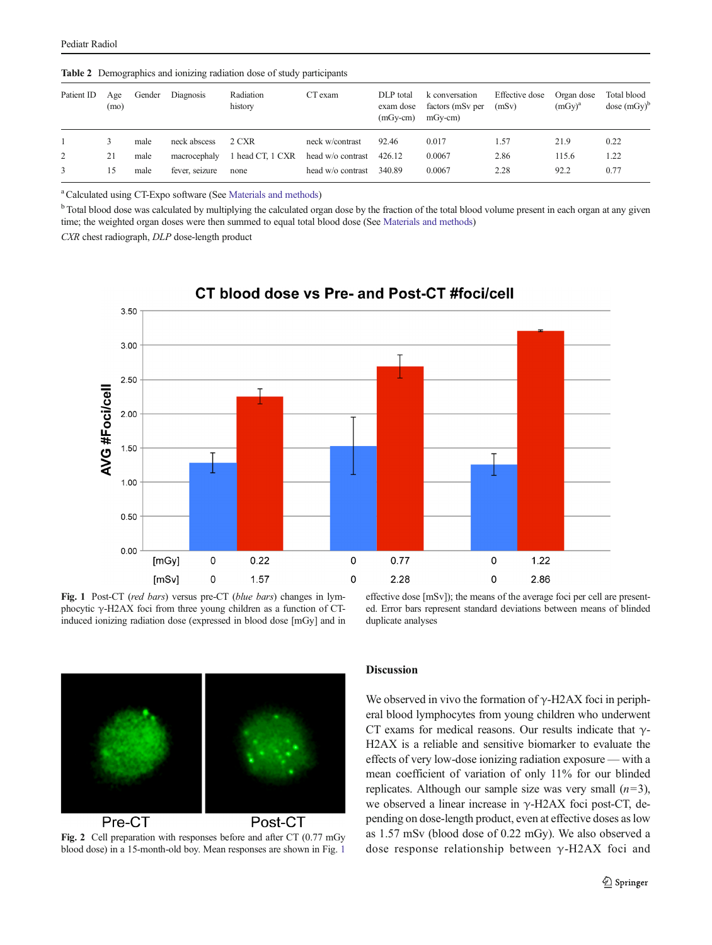| Patient ID | Age<br>(mo) | Gender | Diagnosis      | Radiation<br>history | CT exam           | DLP total<br>exam dose<br>$(mGy-cm)$ | k conversation<br>factors (mSv per<br>$mGy-cm$ | Effective dose<br>(mSv) | Organ dose<br>$(mGy)^a$ | Total blood<br>$dose(mGy)^b$ |
|------------|-------------|--------|----------------|----------------------|-------------------|--------------------------------------|------------------------------------------------|-------------------------|-------------------------|------------------------------|
|            | 3           | male   | neck abscess   | 2 CXR                | neck w/contrast   | 92.46                                | 0.017                                          | 1.57                    | 21.9                    | 0.22                         |
| 2          | 21          | male   | macrocephaly   | 1 head CT, 1 CXR     | head w/o contrast | 426.12                               | 0.0067                                         | 2.86                    | 115.6                   | 1.22                         |
|            | 15          | male   | fever, seizure | none                 | head w/o contrast | 340.89                               | 0.0067                                         | 2.28                    | 92.2                    | 0.77                         |

<span id="page-4-0"></span>Table 2 Demographics and ionizing radiation dose of study participants

<sup>a</sup> Calculated using CT-Expo software (See [Materials and methods](#page-1-0))

<sup>b</sup> Total blood dose was calculated by multiplying the calculated organ dose by the fraction of the total blood volume present in each organ at any given time; the weighted organ doses were then summed to equal total blood dose (See [Materials and methods\)](#page-1-0)

CXR chest radiograph, DLP dose-length product



CT blood dose vs Pre- and Post-CT #foci/cell

Fig. 1 Post-CT (red bars) versus pre-CT (blue bars) changes in lymphocytic  $\gamma$ -H2AX foci from three young children as a function of CTinduced ionizing radiation dose (expressed in blood dose [mGy] and in effective dose [mSv]); the means of the average foci per cell are presented. Error bars represent standard deviations between means of blinded duplicate analyses



Fig. 2 Cell preparation with responses before and after CT (0.77 mGy blood dose) in a 15-month-old boy. Mean responses are shown in Fig. 1

## Discussion

We observed in vivo the formation of  $\gamma$ -H2AX foci in peripheral blood lymphocytes from young children who underwent CT exams for medical reasons. Our results indicate that  $\gamma$ -H2AX is a reliable and sensitive biomarker to evaluate the effects of very low-dose ionizing radiation exposure — with a mean coefficient of variation of only 11% for our blinded replicates. Although our sample size was very small  $(n=3)$ , we observed a linear increase in  $γ$ -H2AX foci post-CT, depending on dose-length product, even at effective doses as low as 1.57 mSv (blood dose of 0.22 mGy). We also observed a dose response relationship between γ-H2AX foci and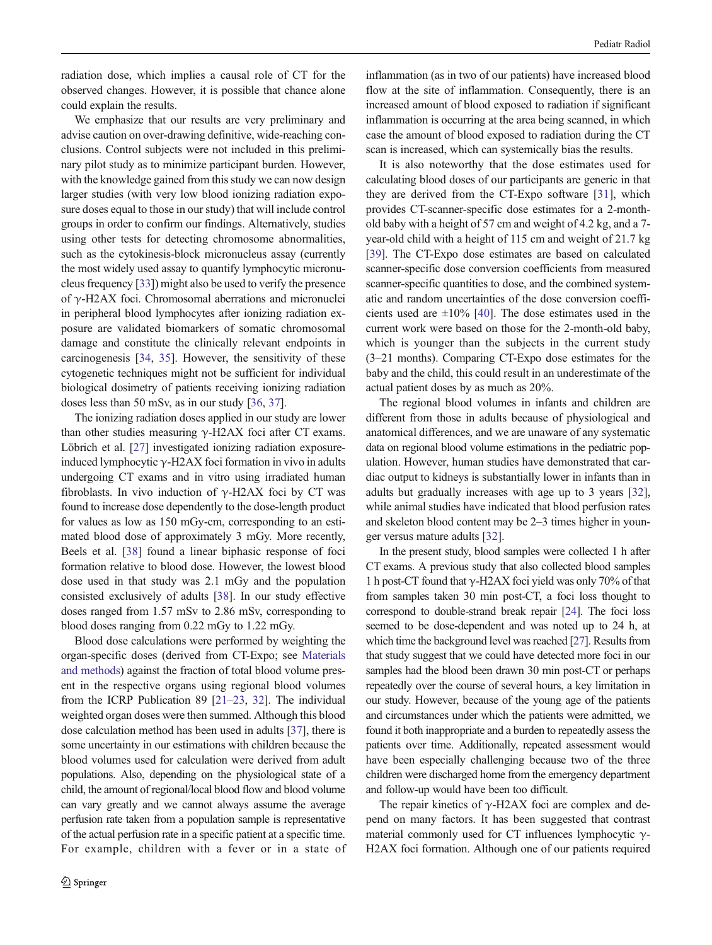radiation dose, which implies a causal role of CT for the observed changes. However, it is possible that chance alone could explain the results.

We emphasize that our results are very preliminary and advise caution on over-drawing definitive, wide-reaching conclusions. Control subjects were not included in this preliminary pilot study as to minimize participant burden. However, with the knowledge gained from this study we can now design larger studies (with very low blood ionizing radiation exposure doses equal to those in our study) that will include control groups in order to confirm our findings. Alternatively, studies using other tests for detecting chromosome abnormalities, such as the cytokinesis-block micronucleus assay (currently the most widely used assay to quantify lymphocytic micronucleus frequency [\[33](#page-7-0)]) might also be used to verify the presence of γ-H2AX foci. Chromosomal aberrations and micronuclei in peripheral blood lymphocytes after ionizing radiation exposure are validated biomarkers of somatic chromosomal damage and constitute the clinically relevant endpoints in carcinogenesis [\[34](#page-7-0), [35](#page-7-0)]. However, the sensitivity of these cytogenetic techniques might not be sufficient for individual biological dosimetry of patients receiving ionizing radiation doses less than 50 mSv, as in our study [[36,](#page-7-0) [37](#page-7-0)].

The ionizing radiation doses applied in our study are lower than other studies measuring  $\gamma$ -H2AX foci after CT exams. Löbrich et al. [[27](#page-6-0)] investigated ionizing radiation exposureinduced lymphocytic  $\gamma$ -H2AX foci formation in vivo in adults undergoing CT exams and in vitro using irradiated human fibroblasts. In vivo induction of  $\gamma$ -H2AX foci by CT was found to increase dose dependently to the dose-length product for values as low as 150 mGy-cm, corresponding to an estimated blood dose of approximately 3 mGy. More recently, Beels et al. [[38](#page-7-0)] found a linear biphasic response of foci formation relative to blood dose. However, the lowest blood dose used in that study was 2.1 mGy and the population consisted exclusively of adults [[38\]](#page-7-0). In our study effective doses ranged from 1.57 mSv to 2.86 mSv, corresponding to blood doses ranging from 0.22 mGy to 1.22 mGy.

Blood dose calculations were performed by weighting the organ-specific doses (derived from CT-Expo; see [Materials](#page-1-0) [and methods\)](#page-1-0) against the fraction of total blood volume present in the respective organs using regional blood volumes from the ICRP Publication 89 [\[21](#page-6-0)–[23,](#page-6-0) [32](#page-7-0)]. The individual weighted organ doses were then summed. Although this blood dose calculation method has been used in adults [\[37\]](#page-7-0), there is some uncertainty in our estimations with children because the blood volumes used for calculation were derived from adult populations. Also, depending on the physiological state of a child, the amount of regional/local blood flow and blood volume can vary greatly and we cannot always assume the average perfusion rate taken from a population sample is representative of the actual perfusion rate in a specific patient at a specific time. For example, children with a fever or in a state of

inflammation (as in two of our patients) have increased blood flow at the site of inflammation. Consequently, there is an increased amount of blood exposed to radiation if significant inflammation is occurring at the area being scanned, in which case the amount of blood exposed to radiation during the CT scan is increased, which can systemically bias the results.

It is also noteworthy that the dose estimates used for calculating blood doses of our participants are generic in that they are derived from the CT-Expo software [[31\]](#page-7-0), which provides CT-scanner-specific dose estimates for a 2-monthold baby with a height of 57 cm and weight of 4.2 kg, and a 7 year-old child with a height of 115 cm and weight of 21.7 kg [\[39](#page-7-0)]. The CT-Expo dose estimates are based on calculated scanner-specific dose conversion coefficients from measured scanner-specific quantities to dose, and the combined systematic and random uncertainties of the dose conversion coefficients used are  $\pm 10\%$  [[40\]](#page-7-0). The dose estimates used in the current work were based on those for the 2-month-old baby, which is younger than the subjects in the current study (3–21 months). Comparing CT-Expo dose estimates for the baby and the child, this could result in an underestimate of the actual patient doses by as much as 20%.

The regional blood volumes in infants and children are different from those in adults because of physiological and anatomical differences, and we are unaware of any systematic data on regional blood volume estimations in the pediatric population. However, human studies have demonstrated that cardiac output to kidneys is substantially lower in infants than in adults but gradually increases with age up to 3 years [[32\]](#page-7-0), while animal studies have indicated that blood perfusion rates and skeleton blood content may be 2–3 times higher in younger versus mature adults [[32\]](#page-7-0).

In the present study, blood samples were collected 1 h after CT exams. A previous study that also collected blood samples 1 h post-CT found that  $\gamma$ -H2AX foci yield was only 70% of that from samples taken 30 min post-CT, a foci loss thought to correspond to double-strand break repair [\[24\]](#page-6-0). The foci loss seemed to be dose-dependent and was noted up to 24 h, at which time the background level was reached [\[27](#page-6-0)]. Results from that study suggest that we could have detected more foci in our samples had the blood been drawn 30 min post-CT or perhaps repeatedly over the course of several hours, a key limitation in our study. However, because of the young age of the patients and circumstances under which the patients were admitted, we found it both inappropriate and a burden to repeatedly assess the patients over time. Additionally, repeated assessment would have been especially challenging because two of the three children were discharged home from the emergency department and follow-up would have been too difficult.

The repair kinetics of  $\gamma$ -H2AX foci are complex and depend on many factors. It has been suggested that contrast material commonly used for CT influences lymphocytic  $\gamma$ -H2AX foci formation. Although one of our patients required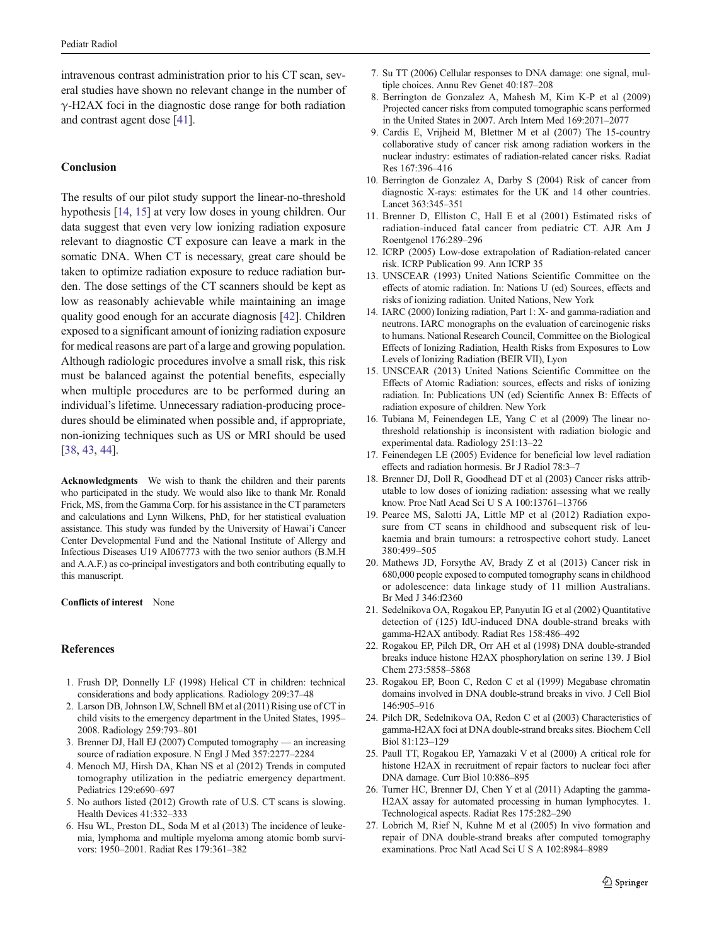<span id="page-6-0"></span>intravenous contrast administration prior to his CT scan, several studies have shown no relevant change in the number of  $\gamma$ -H2AX foci in the diagnostic dose range for both radiation and contrast agent dose [\[41\]](#page-7-0).

## Conclusion

The results of our pilot study support the linear-no-threshold hypothesis [14, 15] at very low doses in young children. Our data suggest that even very low ionizing radiation exposure relevant to diagnostic CT exposure can leave a mark in the somatic DNA. When CT is necessary, great care should be taken to optimize radiation exposure to reduce radiation burden. The dose settings of the CT scanners should be kept as low as reasonably achievable while maintaining an image quality good enough for an accurate diagnosis [\[42\]](#page-7-0). Children exposed to a significant amount of ionizing radiation exposure for medical reasons are part of a large and growing population. Although radiologic procedures involve a small risk, this risk must be balanced against the potential benefits, especially when multiple procedures are to be performed during an individual's lifetime. Unnecessary radiation-producing procedures should be eliminated when possible and, if appropriate, non-ionizing techniques such as US or MRI should be used [\[38,](#page-7-0) [43,](#page-7-0) [44\]](#page-7-0).

Acknowledgments We wish to thank the children and their parents who participated in the study. We would also like to thank Mr. Ronald Frick, MS, from the Gamma Corp. for his assistance in the CT parameters and calculations and Lynn Wilkens, PhD, for her statistical evaluation assistance. This study was funded by the University of Hawai'i Cancer Center Developmental Fund and the National Institute of Allergy and Infectious Diseases U19 AI067773 with the two senior authors (B.M.H and A.A.F.) as co-principal investigators and both contributing equally to this manuscript.

#### Conflicts of interest None

#### **References**

- 1. Frush DP, Donnelly LF (1998) Helical CT in children: technical considerations and body applications. Radiology 209:37–48
- 2. Larson DB, Johnson LW, Schnell BM et al (2011) Rising use of CT in child visits to the emergency department in the United States, 1995– 2008. Radiology 259:793–801
- 3. Brenner DJ, Hall EJ (2007) Computed tomography an increasing source of radiation exposure. N Engl J Med 357:2277–2284
- 4. Menoch MJ, Hirsh DA, Khan NS et al (2012) Trends in computed tomography utilization in the pediatric emergency department. Pediatrics 129:e690–697
- 5. No authors listed (2012) Growth rate of U.S. CT scans is slowing. Health Devices 41:332–333
- 6. Hsu WL, Preston DL, Soda M et al (2013) The incidence of leukemia, lymphoma and multiple myeloma among atomic bomb survivors: 1950–2001. Radiat Res 179:361–382
- 7. Su TT (2006) Cellular responses to DNA damage: one signal, multiple choices. Annu Rev Genet 40:187–208
- 8. Berrington de Gonzalez A, Mahesh M, Kim K-P et al (2009) Projected cancer risks from computed tomographic scans performed in the United States in 2007. Arch Intern Med 169:2071–2077
- 9. Cardis E, Vrijheid M, Blettner M et al (2007) The 15-country collaborative study of cancer risk among radiation workers in the nuclear industry: estimates of radiation-related cancer risks. Radiat Res 167:396–416
- 10. Berrington de Gonzalez A, Darby S (2004) Risk of cancer from diagnostic X-rays: estimates for the UK and 14 other countries. Lancet 363:345–351
- 11. Brenner D, Elliston C, Hall E et al (2001) Estimated risks of radiation-induced fatal cancer from pediatric CT. AJR Am J Roentgenol 176:289–296
- 12. ICRP (2005) Low-dose extrapolation of Radiation-related cancer risk. ICRP Publication 99. Ann ICRP 35
- 13. UNSCEAR (1993) United Nations Scientific Committee on the effects of atomic radiation. In: Nations U (ed) Sources, effects and risks of ionizing radiation. United Nations, New York
- 14. IARC (2000) Ionizing radiation, Part 1: X- and gamma-radiation and neutrons. IARC monographs on the evaluation of carcinogenic risks to humans. National Research Council, Committee on the Biological Effects of Ionizing Radiation, Health Risks from Exposures to Low Levels of Ionizing Radiation (BEIR VII), Lyon
- 15. UNSCEAR (2013) United Nations Scientific Committee on the Effects of Atomic Radiation: sources, effects and risks of ionizing radiation. In: Publications UN (ed) Scientific Annex B: Effects of radiation exposure of children. New York
- 16. Tubiana M, Feinendegen LE, Yang C et al (2009) The linear nothreshold relationship is inconsistent with radiation biologic and experimental data. Radiology 251:13–22
- 17. Feinendegen LE (2005) Evidence for beneficial low level radiation effects and radiation hormesis. Br J Radiol 78:3–7
- 18. Brenner DJ, Doll R, Goodhead DT et al (2003) Cancer risks attributable to low doses of ionizing radiation: assessing what we really know. Proc Natl Acad Sci U S A 100:13761–13766
- 19. Pearce MS, Salotti JA, Little MP et al (2012) Radiation exposure from CT scans in childhood and subsequent risk of leukaemia and brain tumours: a retrospective cohort study. Lancet 380:499–505
- 20. Mathews JD, Forsythe AV, Brady Z et al (2013) Cancer risk in 680,000 people exposed to computed tomography scans in childhood or adolescence: data linkage study of 11 million Australians. Br Med J 346:f2360
- 21. Sedelnikova OA, Rogakou EP, Panyutin IG et al (2002) Quantitative detection of (125) IdU-induced DNA double-strand breaks with gamma-H2AX antibody. Radiat Res 158:486–492
- 22. Rogakou EP, Pilch DR, Orr AH et al (1998) DNA double-stranded breaks induce histone H2AX phosphorylation on serine 139. J Biol Chem 273:5858–5868
- 23. Rogakou EP, Boon C, Redon C et al (1999) Megabase chromatin domains involved in DNA double-strand breaks in vivo. J Cell Biol 146:905–916
- 24. Pilch DR, Sedelnikova OA, Redon C et al (2003) Characteristics of gamma-H2AX foci at DNA double-strand breaks sites. Biochem Cell Biol 81:123–129
- 25. Paull TT, Rogakou EP, Yamazaki V et al (2000) A critical role for histone H2AX in recruitment of repair factors to nuclear foci after DNA damage. Curr Biol 10:886–895
- 26. Turner HC, Brenner DJ, Chen Y et al (2011) Adapting the gamma-H2AX assay for automated processing in human lymphocytes. 1. Technological aspects. Radiat Res 175:282–290
- 27. Lobrich M, Rief N, Kuhne M et al (2005) In vivo formation and repair of DNA double-strand breaks after computed tomography examinations. Proc Natl Acad Sci U S A 102:8984–8989